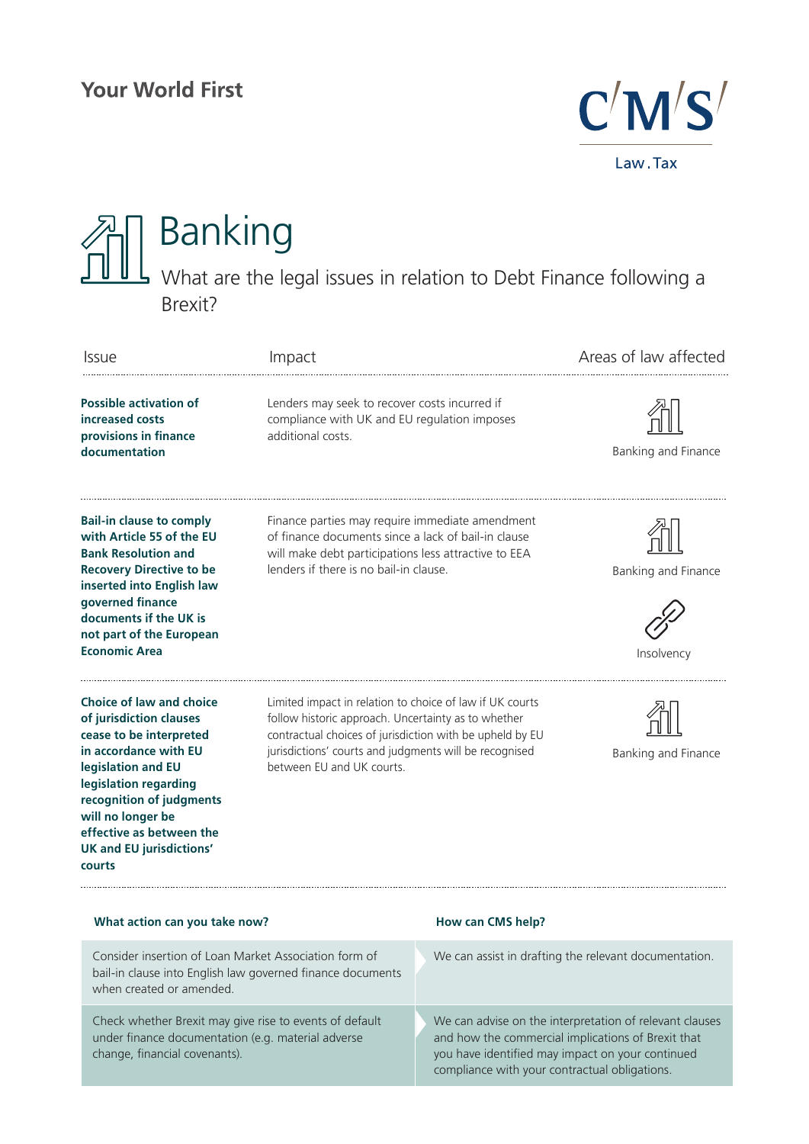

## Banking What are the legal issues in relation to Debt Finance following a Brexit?

| <b>Issue</b>                                                                                                                                                                                                                                                                            | Impact                                                                                                                                                                                                                                                             |                                                                                                                                                                                                                    | Areas of law affected             |
|-----------------------------------------------------------------------------------------------------------------------------------------------------------------------------------------------------------------------------------------------------------------------------------------|--------------------------------------------------------------------------------------------------------------------------------------------------------------------------------------------------------------------------------------------------------------------|--------------------------------------------------------------------------------------------------------------------------------------------------------------------------------------------------------------------|-----------------------------------|
| <b>Possible activation of</b><br>increased costs<br>provisions in finance<br>documentation                                                                                                                                                                                              | Lenders may seek to recover costs incurred if<br>compliance with UK and EU regulation imposes<br>additional costs.                                                                                                                                                 |                                                                                                                                                                                                                    | Banking and Finance               |
| <b>Bail-in clause to comply</b><br>with Article 55 of the EU<br><b>Bank Resolution and</b><br><b>Recovery Directive to be</b><br>inserted into English law<br>governed finance<br>documents if the UK is<br>not part of the European<br><b>Economic Area</b>                            | Finance parties may require immediate amendment<br>of finance documents since a lack of bail-in clause<br>will make debt participations less attractive to EEA<br>lenders if there is no bail-in clause.                                                           |                                                                                                                                                                                                                    | Banking and Finance<br>Insolvency |
| <b>Choice of law and choice</b><br>of jurisdiction clauses<br>cease to be interpreted<br>in accordance with EU<br>legislation and EU<br>legislation regarding<br>recognition of judgments<br>will no longer be<br>effective as between the<br><b>UK and EU jurisdictions'</b><br>courts | Limited impact in relation to choice of law if UK courts<br>follow historic approach. Uncertainty as to whether<br>contractual choices of jurisdiction with be upheld by EU<br>jurisdictions' courts and judgments will be recognised<br>between EU and UK courts. |                                                                                                                                                                                                                    | Banking and Finance               |
| What action can you take now?                                                                                                                                                                                                                                                           |                                                                                                                                                                                                                                                                    | How can CMS help?                                                                                                                                                                                                  |                                   |
| Consider insertion of Loan Market Association form of<br>bail-in clause into English law governed finance documents<br>when created or amended.                                                                                                                                         |                                                                                                                                                                                                                                                                    | We can assist in drafting the relevant documentation.                                                                                                                                                              |                                   |
| Check whether Brexit may give rise to events of default<br>under finance documentation (e.g. material adverse<br>change, financial covenants).                                                                                                                                          |                                                                                                                                                                                                                                                                    | We can advise on the interpretation of relevant clauses<br>and how the commercial implications of Brexit that<br>you have identified may impact on your continued<br>compliance with your contractual obligations. |                                   |